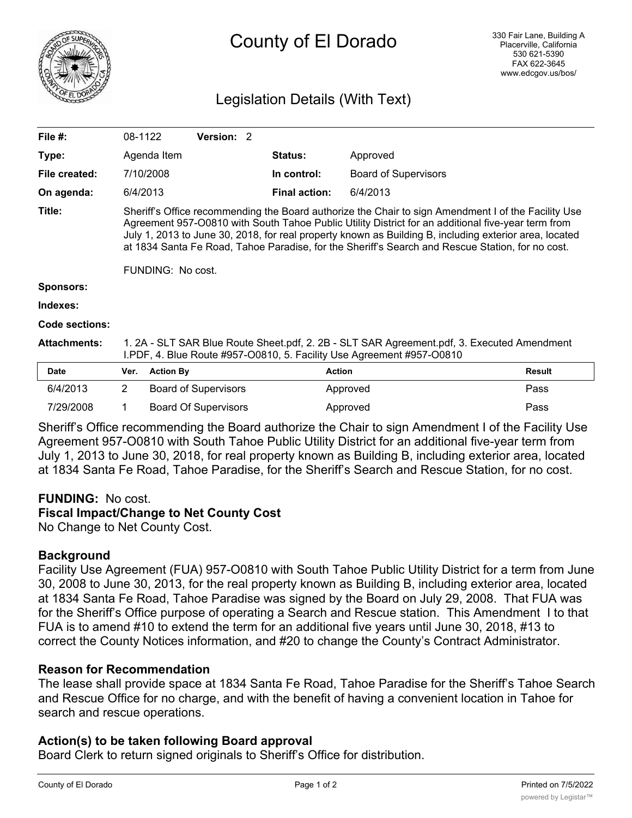

# County of El Dorado

# Legislation Details (With Text)

| File $#$ :            | 08-1122                                                                                                                                                                                                                                                                                                                                                                                                                                      |                  | Version: 2                  |                      |                             |               |
|-----------------------|----------------------------------------------------------------------------------------------------------------------------------------------------------------------------------------------------------------------------------------------------------------------------------------------------------------------------------------------------------------------------------------------------------------------------------------------|------------------|-----------------------------|----------------------|-----------------------------|---------------|
| Type:                 |                                                                                                                                                                                                                                                                                                                                                                                                                                              | Agenda Item      |                             | <b>Status:</b>       | Approved                    |               |
| File created:         |                                                                                                                                                                                                                                                                                                                                                                                                                                              | 7/10/2008        |                             | In control:          | <b>Board of Supervisors</b> |               |
| On agenda:            | 6/4/2013                                                                                                                                                                                                                                                                                                                                                                                                                                     |                  |                             | <b>Final action:</b> | 6/4/2013                    |               |
| Title:                | Sheriff's Office recommending the Board authorize the Chair to sign Amendment I of the Facility Use<br>Agreement 957-O0810 with South Tahoe Public Utility District for an additional five-year term from<br>July 1, 2013 to June 30, 2018, for real property known as Building B, including exterior area, located<br>at 1834 Santa Fe Road, Tahoe Paradise, for the Sheriff's Search and Rescue Station, for no cost.<br>FUNDING: No cost. |                  |                             |                      |                             |               |
| <b>Sponsors:</b>      |                                                                                                                                                                                                                                                                                                                                                                                                                                              |                  |                             |                      |                             |               |
| Indexes:              |                                                                                                                                                                                                                                                                                                                                                                                                                                              |                  |                             |                      |                             |               |
| <b>Code sections:</b> |                                                                                                                                                                                                                                                                                                                                                                                                                                              |                  |                             |                      |                             |               |
| <b>Attachments:</b>   | 1. 2A - SLT SAR Blue Route Sheet.pdf, 2. 2B - SLT SAR Agreement.pdf, 3. Executed Amendment<br>I.PDF, 4. Blue Route #957-00810, 5. Facility Use Agreement #957-00810                                                                                                                                                                                                                                                                          |                  |                             |                      |                             |               |
| <b>Date</b>           | Ver.                                                                                                                                                                                                                                                                                                                                                                                                                                         | <b>Action By</b> |                             |                      | <b>Action</b>               | <b>Result</b> |
| 6/4/2013              | $\overline{2}$                                                                                                                                                                                                                                                                                                                                                                                                                               |                  | <b>Board of Supervisors</b> |                      | Approved                    | Pass          |

Sheriff's Office recommending the Board authorize the Chair to sign Amendment I of the Facility Use Agreement 957-O0810 with South Tahoe Public Utility District for an additional five-year term from July 1, 2013 to June 30, 2018, for real property known as Building B, including exterior area, located at 1834 Santa Fe Road, Tahoe Paradise, for the Sheriff's Search and Rescue Station, for no cost.

7/29/2008 1 Board Of Supervisors Approved Approved Pass

#### **FUNDING:** No cost.

#### **Fiscal Impact/Change to Net County Cost**

No Change to Net County Cost.

#### **Background**

Facility Use Agreement (FUA) 957-O0810 with South Tahoe Public Utility District for a term from June 30, 2008 to June 30, 2013, for the real property known as Building B, including exterior area, located at 1834 Santa Fe Road, Tahoe Paradise was signed by the Board on July 29, 2008. That FUA was for the Sheriff's Office purpose of operating a Search and Rescue station. This Amendment I to that FUA is to amend #10 to extend the term for an additional five years until June 30, 2018, #13 to correct the County Notices information, and #20 to change the County's Contract Administrator.

#### **Reason for Recommendation**

The lease shall provide space at 1834 Santa Fe Road, Tahoe Paradise for the Sheriff's Tahoe Search and Rescue Office for no charge, and with the benefit of having a convenient location in Tahoe for search and rescue operations.

## **Action(s) to be taken following Board approval**

Board Clerk to return signed originals to Sheriff's Office for distribution.